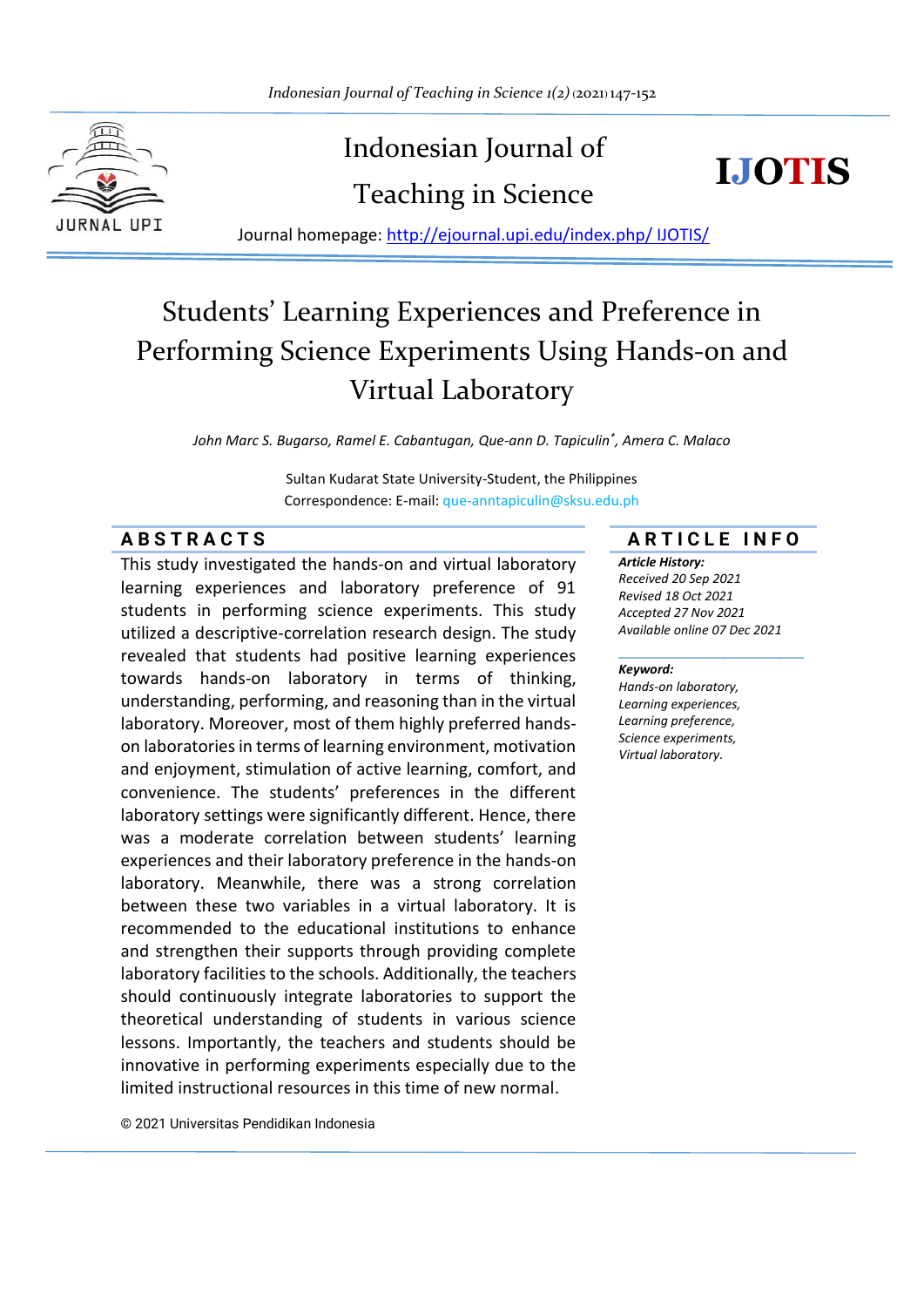

# Indonesian Journal of Teaching in Science



Journal homepage: http://ejournal.upi.edu/index.php/ IJOTIS/

# Students' Learning Experiences and Preference in Performing Science Experiments Using Hands-on and Virtual Laboratory

*John Marc S. Bugarso, Ramel E. Cabantugan, Que-ann D. Tapiculin\* , Amera C. Malaco*

Sultan Kudarat State University-Student, the Philippines Correspondence: E-mail: que-anntapiculin@sksu.edu.ph

This study investigated the hands-on and virtual laboratory learning experiences and laboratory preference of 91 students in performing science experiments. This study utilized a descriptive-correlation research design. The study revealed that students had positive learning experiences towards hands-on laboratory in terms of thinking, understanding, performing, and reasoning than in the virtual laboratory. Moreover, most of them highly preferred handson laboratories in terms of learning environment, motivation and enjoyment, stimulation of active learning, comfort, and convenience. The students' preferences in the different laboratory settings were significantly different. Hence, there was a moderate correlation between students' learning experiences and their laboratory preference in the hands-on laboratory. Meanwhile, there was a strong correlation between these two variables in a virtual laboratory. It is recommended to the educational institutions to enhance and strengthen their supports through providing complete laboratory facilities to the schools. Additionally, the teachers should continuously integrate laboratories to support the theoretical understanding of students in various science lessons. Importantly, the teachers and students should be innovative in performing experiments especially due to the limited instructional resources in this time of new normal.

**A B S T R A C T S A R T I C L E I N F O**

*Article History: Received 20 Sep 2021 Revised 18 Oct 2021 Accepted 27 Nov 2021 Available online 07 Dec 2021*

\_\_\_\_\_\_\_\_\_\_\_\_\_\_\_\_\_\_\_\_

#### *Keyword:*

*Hands-on laboratory, Learning experiences, Learning preference, Science experiments, Virtual laboratory.*

© 2021 Universitas Pendidikan Indonesia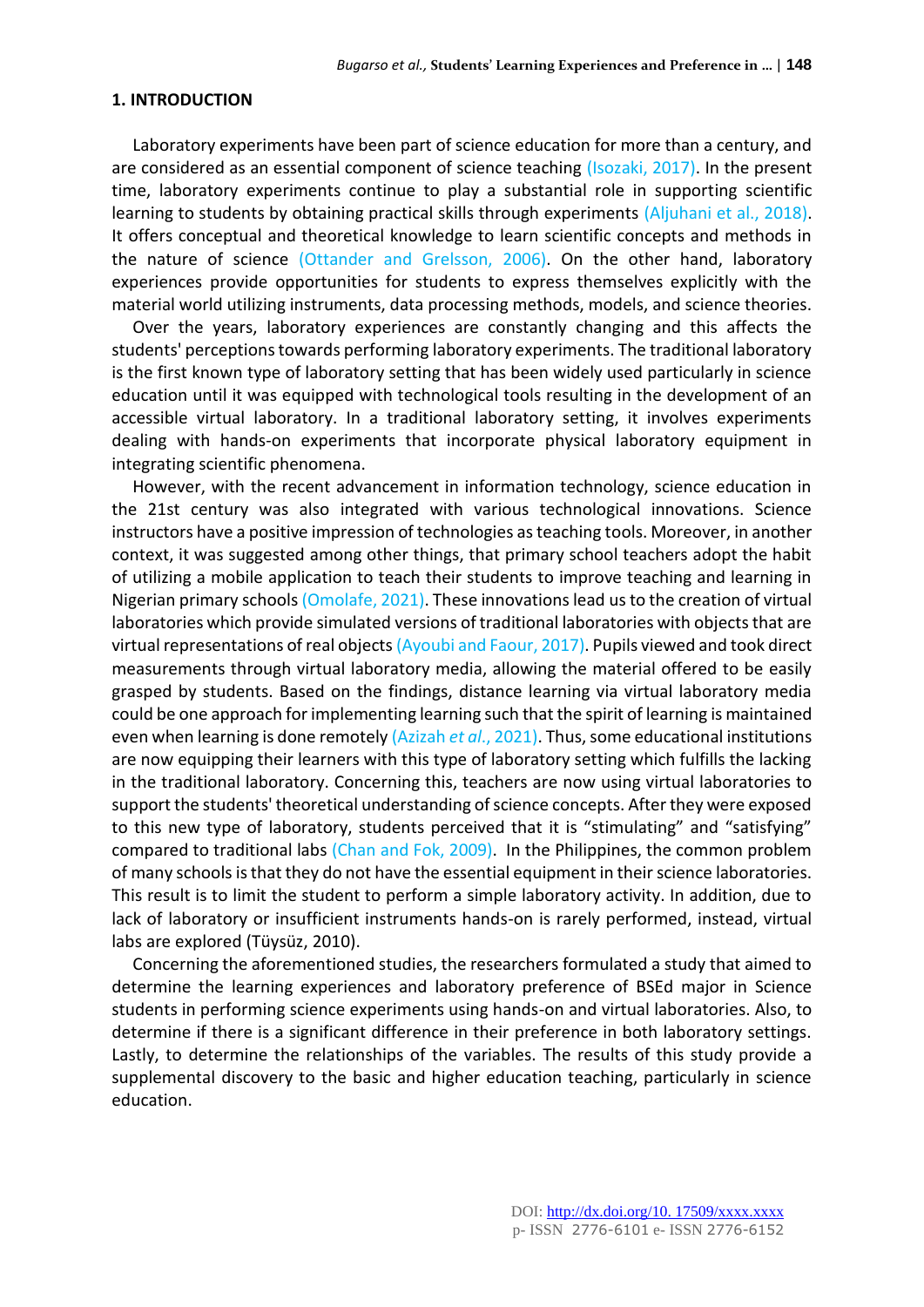#### **1. INTRODUCTION**

Laboratory experiments have been part of science education for more than a century, and are considered as an essential component of science teaching (Isozaki, 2017). In the present time, laboratory experiments continue to play a substantial role in supporting scientific learning to students by obtaining practical skills through experiments (Aljuhani et al., 2018). It offers conceptual and theoretical knowledge to learn scientific concepts and methods in the nature of science (Ottander and Grelsson, 2006). On the other hand, laboratory experiences provide opportunities for students to express themselves explicitly with the material world utilizing instruments, data processing methods, models, and science theories.

Over the years, laboratory experiences are constantly changing and this affects the students' perceptions towards performing laboratory experiments. The traditional laboratory is the first known type of laboratory setting that has been widely used particularly in science education until it was equipped with technological tools resulting in the development of an accessible virtual laboratory. In a traditional laboratory setting, it involves experiments dealing with hands-on experiments that incorporate physical laboratory equipment in integrating scientific phenomena.

However, with the recent advancement in information technology, science education in the 21st century was also integrated with various technological innovations. Science instructors have a positive impression of technologies as teaching tools. Moreover, in another context, it was suggested among other things, that primary school teachers adopt the habit of utilizing a mobile application to teach their students to improve teaching and learning in Nigerian primary schools (Omolafe, 2021). These innovations lead us to the creation of virtual laboratories which provide simulated versions of traditional laboratories with objects that are virtual representations of real objects (Ayoubi and Faour, 2017). Pupils viewed and took direct measurements through virtual laboratory media, allowing the material offered to be easily grasped by students. Based on the findings, distance learning via virtual laboratory media could be one approach for implementing learning such that the spirit of learning is maintained even when learning is done remotely (Azizah *et al*., 2021). Thus, some educational institutions are now equipping their learners with this type of laboratory setting which fulfills the lacking in the traditional laboratory. Concerning this, teachers are now using virtual laboratories to support the students' theoretical understanding of science concepts. After they were exposed to this new type of laboratory, students perceived that it is "stimulating" and "satisfying" compared to traditional labs (Chan and Fok, 2009). In the Philippines, the common problem of many schools is that they do not have the essential equipment in their science laboratories. This result is to limit the student to perform a simple laboratory activity. In addition, due to lack of laboratory or insufficient instruments hands-on is rarely performed, instead, virtual labs are explored (Tüysüz, 2010).

Concerning the aforementioned studies, the researchers formulated a study that aimed to determine the learning experiences and laboratory preference of BSEd major in Science students in performing science experiments using hands-on and virtual laboratories. Also, to determine if there is a significant difference in their preference in both laboratory settings. Lastly, to determine the relationships of the variables. The results of this study provide a supplemental discovery to the basic and higher education teaching, particularly in science education.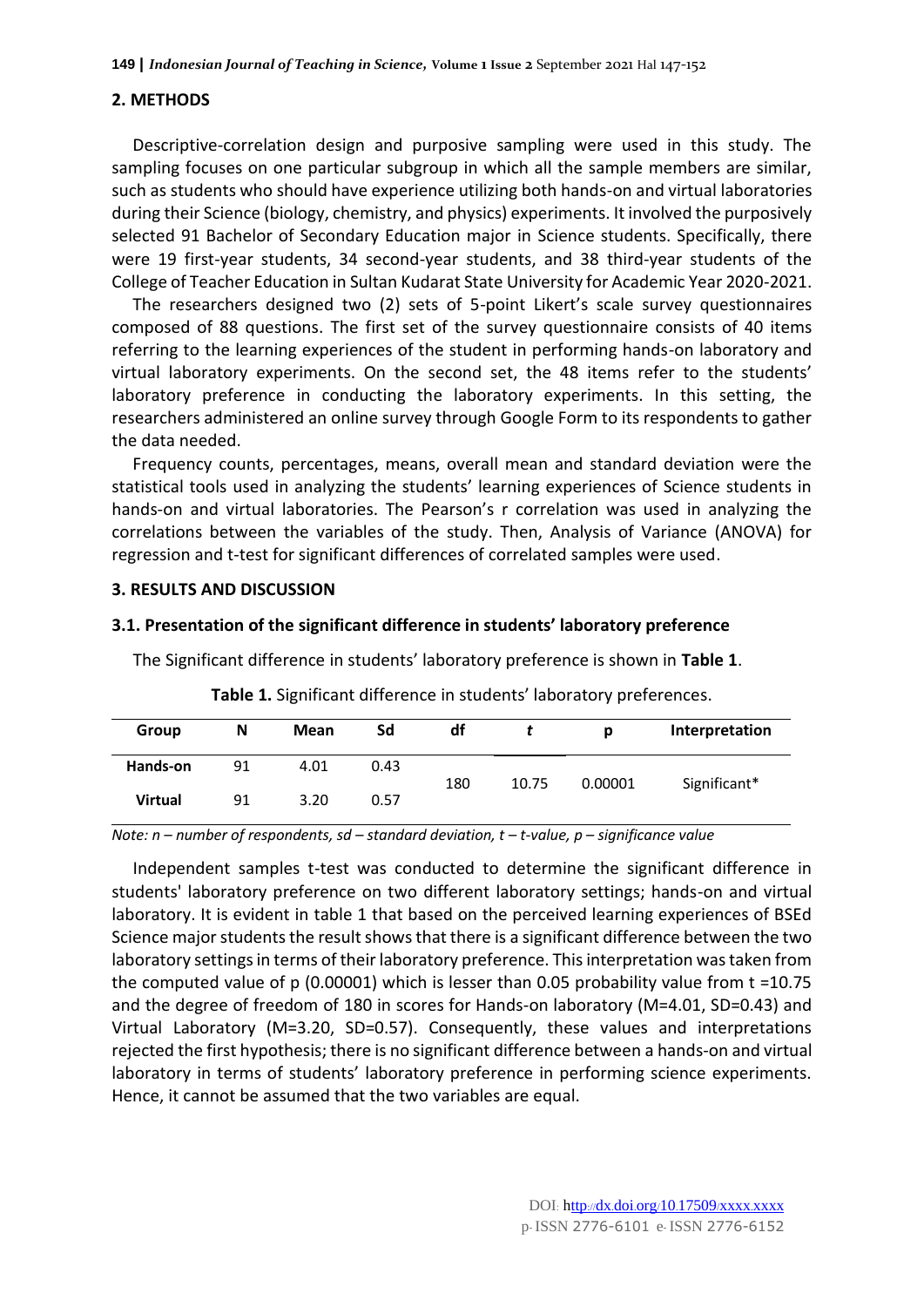### **2. METHODS**

Descriptive-correlation design and purposive sampling were used in this study. The sampling focuses on one particular subgroup in which all the sample members are similar, such as students who should have experience utilizing both hands-on and virtual laboratories during their Science (biology, chemistry, and physics) experiments. It involved the purposively selected 91 Bachelor of Secondary Education major in Science students. Specifically, there were 19 first-year students, 34 second-year students, and 38 third-year students of the College of Teacher Education in Sultan Kudarat State University for Academic Year 2020-2021.

The researchers designed two (2) sets of 5-point Likert's scale survey questionnaires composed of 88 questions. The first set of the survey questionnaire consists of 40 items referring to the learning experiences of the student in performing hands-on laboratory and virtual laboratory experiments. On the second set, the 48 items refer to the students' laboratory preference in conducting the laboratory experiments. In this setting, the researchers administered an online survey through Google Form to its respondents to gather the data needed.

Frequency counts, percentages, means, overall mean and standard deviation were the statistical tools used in analyzing the students' learning experiences of Science students in hands-on and virtual laboratories. The Pearson's r correlation was used in analyzing the correlations between the variables of the study. Then, Analysis of Variance (ANOVA) for regression and t-test for significant differences of correlated samples were used.

### **3. RESULTS AND DISCUSSION**

#### **3.1. Presentation of the significant difference in students' laboratory preference**

The Significant difference in students' laboratory preference is shown in **Table 1**.

| Group          | N  | Mean | Sd   | df  |       | D       | Interpretation |
|----------------|----|------|------|-----|-------|---------|----------------|
| Hands-on       | 91 | 4.01 | 0.43 | 180 | 10.75 | 0.00001 | Significant*   |
| <b>Virtual</b> | 91 | 3.20 | 0.57 |     |       |         |                |

**Table 1.** Significant difference in students' laboratory preferences.

*Note: n – number of respondents, sd – standard deviation, t – t-value, p – significance value*

Independent samples t-test was conducted to determine the significant difference in students' laboratory preference on two different laboratory settings; hands-on and virtual laboratory. It is evident in table 1 that based on the perceived learning experiences of BSEd Science major students the result shows that there is a significant difference between the two laboratory settings in terms of their laboratory preference. This interpretation was taken from the computed value of p (0.00001) which is lesser than 0.05 probability value from t =10.75 and the degree of freedom of 180 in scores for Hands-on laboratory (M=4.01, SD=0.43) and Virtual Laboratory (M=3.20, SD=0.57). Consequently, these values and interpretations rejected the first hypothesis; there is no significant difference between a hands-on and virtual laboratory in terms of students' laboratory preference in performing science experiments. Hence, it cannot be assumed that the two variables are equal.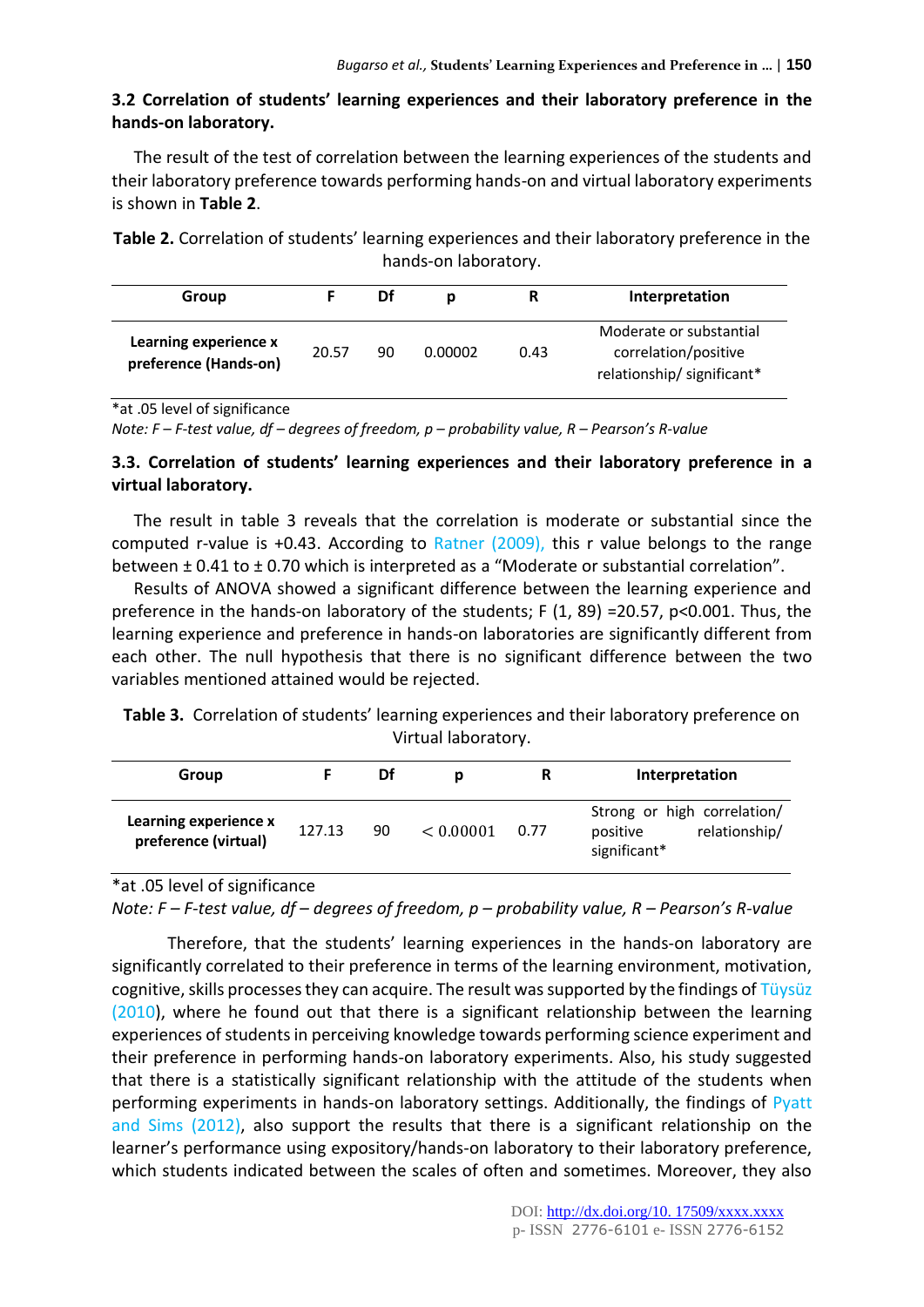# **3.2 Correlation of students' learning experiences and their laboratory preference in the hands-on laboratory.**

The result of the test of correlation between the learning experiences of the students and their laboratory preference towards performing hands-on and virtual laboratory experiments is shown in **Table 2**.

**Table 2.** Correlation of students' learning experiences and their laboratory preference in the hands-on laboratory.

| Group                                          |       | Df | D       | R    | Interpretation                                                               |
|------------------------------------------------|-------|----|---------|------|------------------------------------------------------------------------------|
| Learning experience x<br>preference (Hands-on) | 20.57 | 90 | 0.00002 | 0.43 | Moderate or substantial<br>correlation/positive<br>relationship/significant* |

<sup>\*</sup>at .05 level of significance

*Note: F – F-test value, df – degrees of freedom, p – probability value, R – Pearson's R-value*

# **3.3. Correlation of students' learning experiences and their laboratory preference in a virtual laboratory.**

The result in table 3 reveals that the correlation is moderate or substantial since the computed r-value is +0.43. According to Ratner (2009), this r value belongs to the range between ± 0.41 to ± 0.70 which is interpreted as a "Moderate or substantial correlation".

Results of ANOVA showed a significant difference between the learning experience and preference in the hands-on laboratory of the students; F (1, 89) =20.57, p<0.001. Thus, the learning experience and preference in hands-on laboratories are significantly different from each other. The null hypothesis that there is no significant difference between the two variables mentioned attained would be rejected.

**Table 3.** Correlation of students' learning experiences and their laboratory preference on Virtual laboratory.

| Group                                         |        | Df | Ŋ         | R    | Interpretation                                                           |
|-----------------------------------------------|--------|----|-----------|------|--------------------------------------------------------------------------|
| Learning experience x<br>preference (virtual) | 127.13 | 90 | < 0.00001 | 0.77 | Strong or high correlation/<br>relationship/<br>positive<br>significant* |

\*at .05 level of significance

*Note: F – F-test value, df – degrees of freedom, p – probability value, R – Pearson's R-value*

Therefore, that the students' learning experiences in the hands-on laboratory are significantly correlated to their preference in terms of the learning environment, motivation, cognitive, skills processes they can acquire. The result was supported by the findings of Tüysüz (2010), where he found out that there is a significant relationship between the learning experiences of students in perceiving knowledge towards performing science experiment and their preference in performing hands-on laboratory experiments. Also, his study suggested that there is a statistically significant relationship with the attitude of the students when performing experiments in hands-on laboratory settings. Additionally, the findings of Pyatt and Sims (2012), also support the results that there is a significant relationship on the learner's performance using expository/hands-on laboratory to their laboratory preference, which students indicated between the scales of often and sometimes. Moreover, they also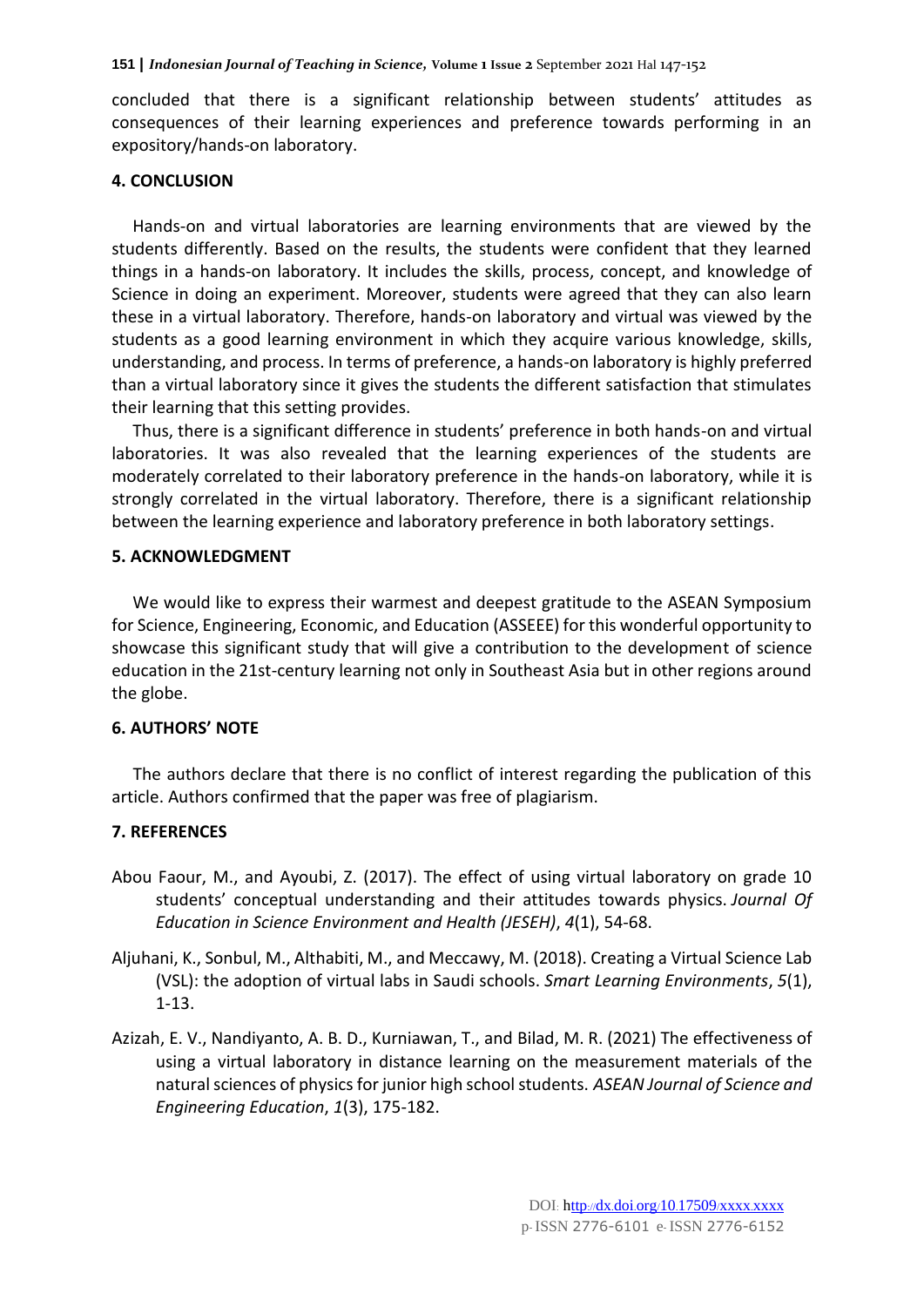concluded that there is a significant relationship between students' attitudes as consequences of their learning experiences and preference towards performing in an expository/hands-on laboratory.

# **4. CONCLUSION**

Hands-on and virtual laboratories are learning environments that are viewed by the students differently. Based on the results, the students were confident that they learned things in a hands-on laboratory. It includes the skills, process, concept, and knowledge of Science in doing an experiment. Moreover, students were agreed that they can also learn these in a virtual laboratory. Therefore, hands-on laboratory and virtual was viewed by the students as a good learning environment in which they acquire various knowledge, skills, understanding, and process. In terms of preference, a hands-on laboratory is highly preferred than a virtual laboratory since it gives the students the different satisfaction that stimulates their learning that this setting provides.

Thus, there is a significant difference in students' preference in both hands-on and virtual laboratories. It was also revealed that the learning experiences of the students are moderately correlated to their laboratory preference in the hands-on laboratory, while it is strongly correlated in the virtual laboratory. Therefore, there is a significant relationship between the learning experience and laboratory preference in both laboratory settings.

# **5. ACKNOWLEDGMENT**

We would like to express their warmest and deepest gratitude to the ASEAN Symposium for Science, Engineering, Economic, and Education (ASSEEE) for this wonderful opportunity to showcase this significant study that will give a contribution to the development of science education in the 21st-century learning not only in Southeast Asia but in other regions around the globe.

# **6. AUTHORS' NOTE**

The authors declare that there is no conflict of interest regarding the publication of this article. Authors confirmed that the paper was free of plagiarism.

# **7. REFERENCES**

- Abou Faour, M., and Ayoubi, Z. (2017). The effect of using virtual laboratory on grade 10 students' conceptual understanding and their attitudes towards physics. *Journal Of Education in Science Environment and Health (JESEH)*, *4*(1), 54-68.
- Aljuhani, K., Sonbul, M., Althabiti, M., and Meccawy, M. (2018). Creating a Virtual Science Lab (VSL): the adoption of virtual labs in Saudi schools. *Smart Learning Environments*, *5*(1), 1-13.
- Azizah, E. V., Nandiyanto, A. B. D., Kurniawan, T., and Bilad, M. R. (2021) The effectiveness of using a virtual laboratory in distance learning on the measurement materials of the natural sciences of physics for junior high school students. *ASEAN Journal of Science and Engineering Education*, *1*(3), 175-182.